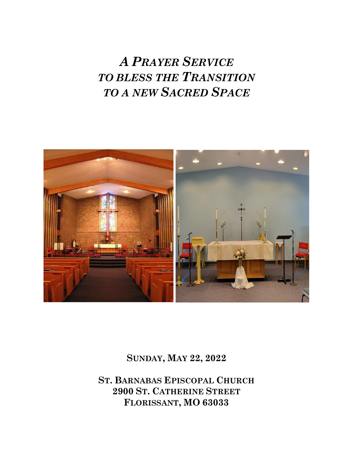# *A PRAYER SERVICE TO BLESS THE TRANSITION TO A NEW SACRED SPACE*



**SUNDAY, MAY 22, 2022**

**ST. BARNABAS EPISCOPAL CHURCH 2900 ST. CATHERINE STREET FLORISSANT, MO 63033**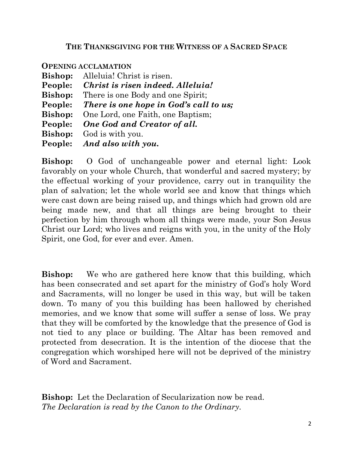#### **THE THANKSGIVING FOR THE WITNESS OF A SACRED SPACE**

#### **OPENING ACCLAMATION**

| <b>Bishop:</b> | Alleluia! Christ is risen.             |
|----------------|----------------------------------------|
| People:        | Christ is risen indeed. Alleluia!      |
| <b>Bishop:</b> | There is one Body and one Spirit;      |
| People:        | There is one hope in God's call to us; |
| <b>Bishop:</b> | One Lord, one Faith, one Baptism;      |
| People:        | <b>One God and Creator of all.</b>     |
| <b>Bishop:</b> | God is with you.                       |
| People:        | And also with you.                     |
|                |                                        |

**Bishop:** O God of unchangeable power and eternal light: Look favorably on your whole Church, that wonderful and sacred mystery; by the effectual working of your providence, carry out in tranquility the plan of salvation; let the whole world see and know that things which were cast down are being raised up, and things which had grown old are being made new, and that all things are being brought to their perfection by him through whom all things were made, your Son Jesus Christ our Lord; who lives and reigns with you, in the unity of the Holy Spirit, one God, for ever and ever. Amen.

**Bishop:** We who are gathered here know that this building, which has been consecrated and set apart for the ministry of God's holy Word and Sacraments, will no longer be used in this way, but will be taken down. To many of you this building has been hallowed by cherished memories, and we know that some will suffer a sense of loss. We pray that they will be comforted by the knowledge that the presence of God is not tied to any place or building. The Altar has been removed and protected from desecration. It is the intention of the diocese that the congregation which worshiped here will not be deprived of the ministry of Word and Sacrament.

**Bishop:** Let the Declaration of Secularization now be read. *The Declaration is read by the Canon to the Ordinary.*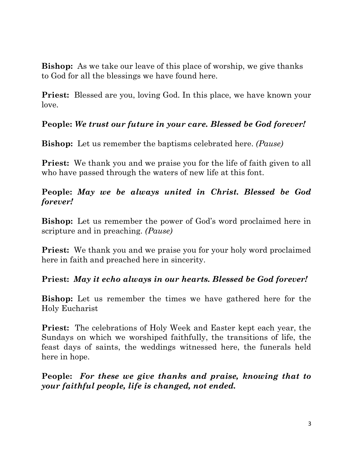**Bishop:** As we take our leave of this place of worship, we give thanks to God for all the blessings we have found here.

**Priest:** Blessed are you, loving God. In this place, we have known your love.

#### **People:** *We trust our future in your care. Blessed be God forever!*

**Bishop:** Let us remember the baptisms celebrated here. *(Pause)* 

**Priest:** We thank you and we praise you for the life of faith given to all who have passed through the waters of new life at this font.

#### **People:** *May we be always united in Christ. Blessed be God forever!*

**Bishop:** Let us remember the power of God's word proclaimed here in scripture and in preaching. *(Pause)*

**Priest:** We thank you and we praise you for your holy word proclaimed here in faith and preached here in sincerity.

#### **Priest:** *May it echo always in our hearts. Blessed be God forever!*

**Bishop:** Let us remember the times we have gathered here for the Holy Eucharist

**Priest:** The celebrations of Holy Week and Easter kept each year, the Sundays on which we worshiped faithfully, the transitions of life, the feast days of saints, the weddings witnessed here, the funerals held here in hope.

**People:** *For these we give thanks and praise, knowing that to your faithful people, life is changed, not ended.*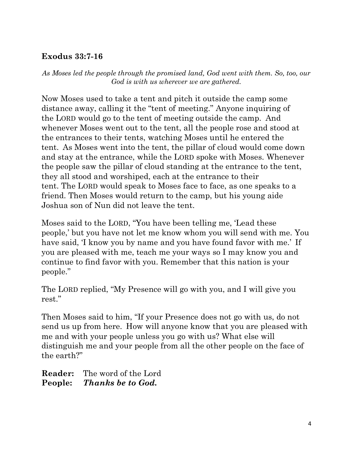## **Exodus 33:7-16**

*As Moses led the people through the promised land, God went with them. So, too, our God is with us wherever we are gathered.*

Now Moses used to take a tent and pitch it outside the camp some distance away, calling it the "tent of meeting." Anyone inquiring of the LORD would go to the tent of meeting outside the camp. And whenever Moses went out to the tent, all the people rose and stood at the entrances to their tents, watching Moses until he entered the tent. As Moses went into the tent, the pillar of cloud would come down and stay at the entrance, while the LORD spoke with Moses. Whenever the people saw the pillar of cloud standing at the entrance to the tent, they all stood and worshiped, each at the entrance to their tent. The LORD would speak to Moses face to face, as one speaks to a friend. Then Moses would return to the camp, but his young aide Joshua son of Nun did not leave the tent.

Moses said to the LORD, "You have been telling me, 'Lead these people,' but you have not let me know whom you will send with me. You have said, 'I know you by name and you have found favor with me.' If you are pleased with me, teach me your ways so I may know you and continue to find favor with you. Remember that this nation is your people."

The LORD replied, "My Presence will go with you, and I will give you rest."

Then Moses said to him, "If your Presence does not go with us, do not send us up from here. How will anyone know that you are pleased with me and with your people unless you go with us? What else will distinguish me and your people from all the other people on the face of the earth?"

**Reader:** The word of the Lord **People:** *Thanks be to God.*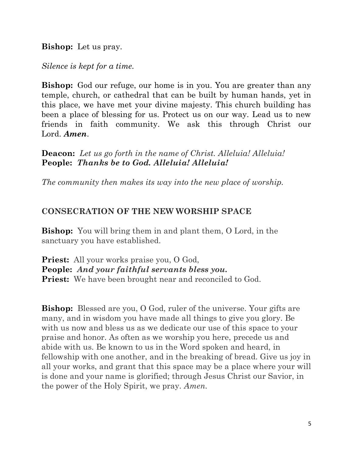**Bishop:** Let us pray.

*Silence is kept for a time.*

**Bishop:** God our refuge, our home is in you. You are greater than any temple, church, or cathedral that can be built by human hands, yet in this place, we have met your divine majesty. This church building has been a place of blessing for us. Protect us on our way. Lead us to new friends in faith community. We ask this through Christ our Lord. *Amen*.

**Deacon:** *Let us go forth in the name of Christ. Alleluia! Alleluia!* **People:** *Thanks be to God. Alleluia! Alleluia!*

*The community then makes its way into the new place of worship.*

# **CONSECRATION OF THE NEW WORSHIP SPACE**

**Bishop:** You will bring them in and plant them, O Lord, in the sanctuary you have established.

**Priest:** All your works praise you, O God, **People:** *And your faithful servants bless you.* **Priest:** We have been brought near and reconciled to God.

**Bishop:** Blessed are you, O God, ruler of the universe. Your gifts are many, and in wisdom you have made all things to give you glory. Be with us now and bless us as we dedicate our use of this space to your praise and honor. As often as we worship you here, precede us and abide with us. Be known to us in the Word spoken and heard, in fellowship with one another, and in the breaking of bread. Give us joy in all your works, and grant that this space may be a place where your will is done and your name is glorified; through Jesus Christ our Savior, in the power of the Holy Spirit, we pray. *Amen.*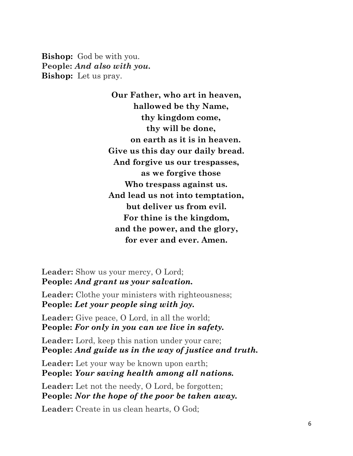**Bishop:** God be with you. **People:** *And also with you.* **Bishop:** Let us pray.

> **Our Father, who art in heaven, hallowed be thy Name, thy kingdom come, thy will be done, on earth as it is in heaven. Give us this day our daily bread. And forgive us our trespasses, as we forgive those Who trespass against us. And lead us not into temptation, but deliver us from evil. For thine is the kingdom, and the power, and the glory, for ever and ever. Amen.**

**Leader:** Show us your mercy, O Lord; **People:** *And grant us your salvation.*

**Leader:** Clothe your ministers with righteousness; **People:** *Let your people sing with joy.*

**Leader:** Give peace, O Lord, in all the world; **People:** *For only in you can we live in safety.*

**Leader:** Lord, keep this nation under your care; **People:** *And guide us in the way of justice and truth.*

Leader: Let your way be known upon earth; **People:** *Your saving health among all nations.*

**Leader:** Let not the needy, O Lord, be forgotten; **People:** *Nor the hope of the poor be taken away.*

**Leader:** Create in us clean hearts, O God;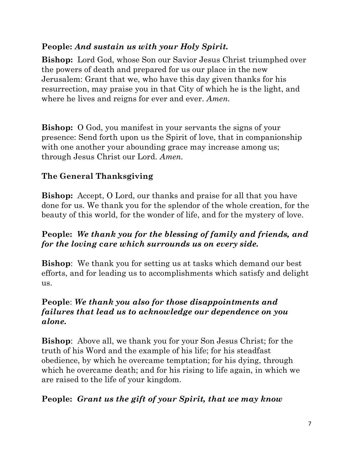# **People:** *And sustain us with your Holy Spirit.*

**Bishop:** Lord God, whose Son our Savior Jesus Christ triumphed over the powers of death and prepared for us our place in the new Jerusalem: Grant that we, who have this day given thanks for his resurrection, may praise you in that City of which he is the light, and where he lives and reigns for ever and ever. *Amen.*

**Bishop:** O God, you manifest in your servants the signs of your presence: Send forth upon us the Spirit of love, that in companionship with one another your abounding grace may increase among us; through Jesus Christ our Lord. *Amen.*

# **The General Thanksgiving**

**Bishop:** Accept, O Lord, our thanks and praise for all that you have done for us. We thank you for the splendor of the whole creation, for the beauty of this world, for the wonder of life, and for the mystery of love.

# **People:** *We thank you for the blessing of family and friends, and for the loving care which surrounds us on every side.*

**Bishop**: We thank you for setting us at tasks which demand our best efforts, and for leading us to accomplishments which satisfy and delight us.

## **People**: *We thank you also for those disappointments and failures that lead us to acknowledge our dependence on you alone.*

**Bishop**: Above all, we thank you for your Son Jesus Christ; for the truth of his Word and the example of his life; for his steadfast obedience, by which he overcame temptation; for his dying, through which he overcame death; and for his rising to life again, in which we are raised to the life of your kingdom.

# **People:** *Grant us the gift of your Spirit, that we may know*